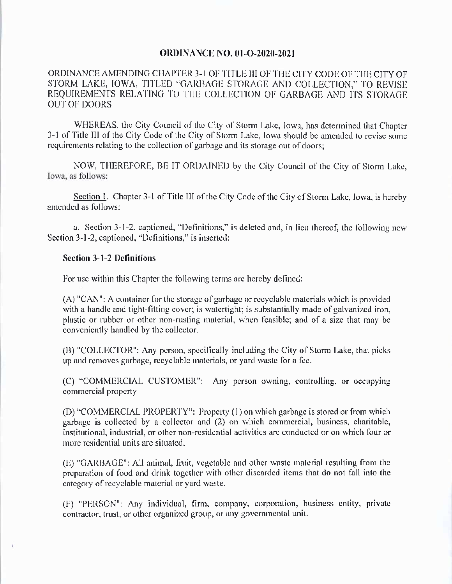## **ORDINANCE NO. 01-O-2020-2021**

ORDINANCE AMENDING CHAPTER 3-1 OF TITLE III OF THE CITY CODE OF THE CITY OF STORM LAKE, IOWA, TITLED "GARBAGE STORAGE AND COLLECTION," TO REVISE REQUIREMENTS RELATING TO THE COLLECTION OF GARBAGE AND ITS STORAGE **OUT OF DOORS** 

WHEREAS, the City Council of the City of Storm Lake, lowa, has determined that Chapter 3-1 of Title III of the City Code of the City of Storm Lake, lowa should be amended to revise some requirements relating to the collection of garbage and its storage out of doors;

NOW, THEREFORE, BE IT ORDAINED by the City Council of the City of Storm Lake, Iowa, as follows:

Section 1. Chapter 3-1 of Title III of the City Code of the City of Storm Lake, Iowa, is hereby amended as follows:

a. Section 3-1-2, captioned, "Definitions," is deleted and, in lieu thereof, the following new Section 3-1-2, captioned, "Definitions," is inserted:

## **Section 3-1-2 Definitions**

For use within this Chapter the following terms are hereby defined:

(A) "CAN": A container for the storage of garbage or recyclable materials which is provided with a handle and tight-fitting cover; is watertight; is substantially made of galvanized iron, plastic or rubber or other non-rusting material, when feasible; and of a size that may be conveniently handled by the collector.

(B) "COLLECTOR": Any person, specifically including the City of Storm Lake, that picks up and removes garbage, recyclable materials, or yard waste for a fee.

(C) "COMMERCIAL CUSTOMER": Any person owning, controlling, or occupying commercial property

(D) "COMMERCIAL PROPERTY": Property (1) on which garbage is stored or from which garbage is collected by a collector and (2) on which commercial, business, charitable, institutional, industrial, or other non-residential activities are conducted or on which four or more residential units are situated.

(E) "GARBAGE": All animal, fruit, vegetable and other waste material resulting from the preparation of food and drink together with other discarded items that do not fall into the category of recyclable material or yard waste.

(F) "PERSON": Any individual, firm, company, corporation, business entity, private contractor, trust, or other organized group, or any governmental unit.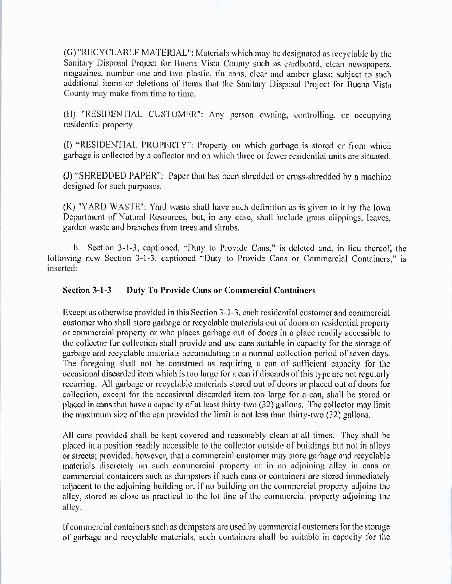(G) "RECYCLABLE MATERIAL": Materials which may be designated as recyclable by the Sanitary Disposal Project for Buena Vista County such as cardboard, clean newspapers, magazines, number one and two plastic, tin cans, clear and amber glass; subject to such additional items or deletions of items that the Sanitary Disposal Project for Buena Vista County may make from time to time.

(H) "RESIDENTIAL CUSTOMER": Any person owning, controlling, or occupying residential property.

1) " RESIDEN"17AL PROPLR'lY": Property on which garbage is stored or from which garbage is collected by a collector and on which three or fewer residential units are situated.

(J) "SHREDDED PAPER": Paper that has been shredded or cross-shredded by a machine designed for such purposes.

 $(K)$  "YARD WASTE": Yard waste shall have such definition as is given to it by the Iowa Department of Natural Resources, but, in any case, shall include grass clippings, leaves, garden waste and branches from trees and shrubs.

b. Section 3-1-3, captioned, "Duty to Provide Cans," is deleted and, in lieu thereof, the following new Section 3-1-3, captioned "Duty to Provide Cans or Commercial Containers," is inserted:

## Section 3-1-3 Duty To Provide Cans or Commercial Containers

Except as otherwise provided in this Section 3-1-3, each residential customer and commercial customer who shall store garbage or recyclable materials out of doors on residential property or commcrcial property or who placcs garbagc out of doors in a place rcadily acccssiblc to the collector for collection shall provide and use cans suitable in capacity for the storage of garbage and recyclable materials accumulating in a normal collection period of seven days. The foregoing shall not be construed as requiring a can of sufficient capacity for the occasional discarded item which is too large for a can if discards of this type are not regularly recurring. All garbage or recyclable materials stored out of doors or placed out of doors for collection, except for the occasional discarded item too large for a can, shall be stored or placed in cans that have a capacity of at least thirty-two (32) gallons. The collector may limit the maximum size of the can provided the limit is not less than thirty-two  $(32)$  gallons.

All cans provided shall be kept covered and reasonably clean at all times. They shall be placed in <sup>a</sup> position readily accessible to the collector oulside of buildings but not in alleys or streets; provided, however, that a commercial customer may store garbage and recyelable materials discretely on such commercial property or in an adjoining alley in cans or commercial containers such as dumpsters if such cans or containers are stored immediately adjacent to the adjoining building or, if no building on the commercial property adjoins the alley, stored as close as practical to the lot line of the commercial property adjoining the alley.

If commercial containers such as dumpsters are used by commercial customers for the storage of garbage and recyclable materials, such containers shall be suitable in capacity for the